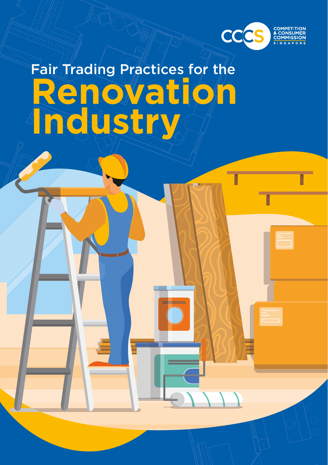

# Fair Trading Practices for the **Renovation Industry**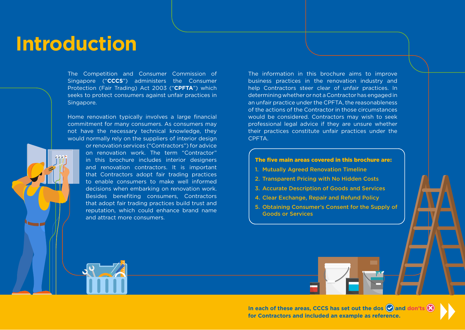# **Introduction**

The Competition and Consumer Commission of Singapore ("**CCCS**") administers the Consumer Protection (Fair Trading) Act 2003 ("**CPFTA**") which seeks to protect consumers against unfair practices in Singapore.

Home renovation typically involves a large financial commitment for many consumers. As consumers may not have the necessary technical knowledge, they would normally rely on the suppliers of interior design

> on renovation work. The term "Contractor" in this brochure includes interior designers and renovation contractors. It is important that Contractors adopt fair trading practices to enable consumers to make well informed decisions when embarking on renovation work. Besides benefiting consumers, Contractors that adopt fair trading practices build trust and reputation, which could enhance brand name and attract more consumers.

or renovation services ("Contractors") for advice

The information in this brochure aims to improve business practices in the renovation industry and help Contractors steer clear of unfair practices. In determining whether or not a Contractor has engaged in an unfair practice under the CPFTA, the reasonableness of the actions of the Contractor in those circumstances would be considered. Contractors may wish to seek professional legal advice if they are unsure whether their practices constitute unfair practices under the CPFTA.

#### The five main areas covered in this brochure are:

- 1. Mutually Agreed Renovation Timeline
- 2. Transparent Pricing with No Hidden Costs
- 3. Accurate Description of Goods and Services
- 4. Clear Exchange, Repair and Refund Policy
- 5. Obtaining Consumer's Consent for the Supply of Goods or Services

In each of these areas, CCCS has set out the dos **and don'ts for Contractors and included an example as reference.**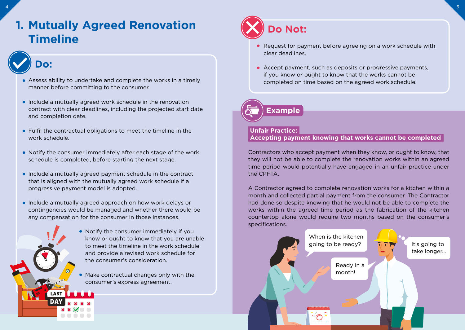# **1. Mutually Agreed Renovation (X)** Do Not: **Timeline**

### **Do:**

- Assess ability to undertake and complete the works in a timely manner before committing to the consumer.
- Include a mutually agreed work schedule in the renovation contract with clear deadlines, including the projected start date and completion date.
- Fulfil the contractual obligations to meet the timeline in the work schedule.
- Notify the consumer immediately after each stage of the work schedule is completed, before starting the next stage.
- Include a mutually agreed payment schedule in the contract that is aligned with the mutually agreed work schedule if a progressive payment model is adopted.
- Include a mutually agreed approach on how work delays or contingencies would be managed and whether there would be any compensation for the consumer in those instances.



- Notify the consumer immediately if you know or ought to know that you are unable to meet the timeline in the work schedule and provide a revised work schedule for the consumer's consideration.
- Make contractual changes only with the consumer's express agreement.



 $4\,$   $\,$  5  $\,$  5  $\,$  5  $\,$  5  $\,$  5  $\,$  5  $\,$  5  $\,$  5  $\,$  5  $\,$  5  $\,$  5  $\,$  5  $\,$  5  $\,$  5  $\,$  5  $\,$  5  $\,$  5  $\,$  5  $\,$  5  $\,$  5  $\,$  5  $\,$  5  $\,$  5  $\,$  5  $\,$  5  $\,$  5  $\,$  5  $\,$  5  $\,$  5  $\,$  5  $\,$ 

- Request for payment before agreeing on a work schedule with clear deadlines.
- Accept payment, such as deposits or progressive payments, if you know or ought to know that the works cannot be completed on time based on the agreed work schedule.



#### **Unfair Practice:**

 **Accepting payment knowing that works cannot be completed**

Contractors who accept payment when they know, or ought to know, that they will not be able to complete the renovation works within an agreed time period would potentially have engaged in an unfair practice under the CPFTA.

A Contractor agreed to complete renovation works for a kitchen within a month and collected partial payment from the consumer. The Contractor had done so despite knowing that he would not be able to complete the works within the agreed time period as the fabrication of the kitchen countertop alone would require two months based on the consumer's specifications.

> Ready in a month!

It's going to take longer...

When is the kitchen going to be ready?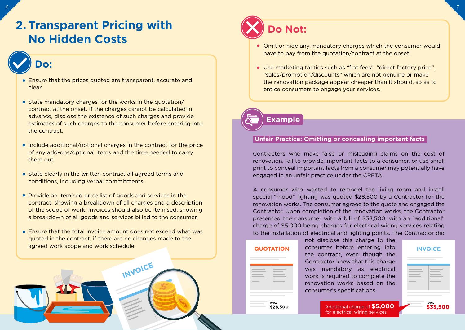## **2. Transparent Pricing with No Hidden Costs**

### **Do:**

- Ensure that the prices quoted are transparent, accurate and clear.
- State mandatory charges for the works in the quotation/ contract at the onset. If the charges cannot be calculated in advance, disclose the existence of such charges and provide estimates of such charges to the consumer before entering into the contract.
- Include additional/optional charges in the contract for the price of any add-ons/optional items and the time needed to carry them out.
- State clearly in the written contract all agreed terms and conditions, including verbal commitments.
- Provide an itemised price list of goods and services in the contract, showing a breakdown of all charges and a description of the scope of work. Invoices should also be itemised, showing a breakdown of all goods and services billed to the consumer.
- Ensure that the total invoice amount does not exceed what was quoted in the contract, if there are no changes made to the agreed work scope and work schedule.

INVOICE



- Omit or hide any mandatory charges which the consumer would have to pay from the quotation/contract at the onset.
- Use marketing tactics such as "flat fees", "direct factory price", "sales/promotion/discounts" which are not genuine or make the renovation package appear cheaper than it should, so as to entice consumers to engage your services.

### **Example**

#### **Unfair Practice: Omitting or concealing important facts**

Contractors who make false or misleading claims on the cost of renovation, fail to provide important facts to a consumer, or use small print to conceal important facts from a consumer may potentially have engaged in an unfair practice under the CPFTA.

A consumer who wanted to remodel the living room and install special "mood" lighting was quoted \$28,500 by a Contractor for the renovation works. The consumer agreed to the quote and engaged the Contractor. Upon completion of the renovation works, the Contractor presented the consumer with a bill of \$33,500, with an "additional" charge of \$5,000 being charges for electrical wiring services relating to the installation of electrical and lighting points. The Contractor did

| <b>QUOTATION</b>         |
|--------------------------|
|                          |
| <b>TOTAL</b><br>\$28,500 |

not disclose this charge to the consumer before entering into the contract, even though the Contractor knew that this charge was mandatory as electrical work is required to complete the renovation works based on the consumer's specifications.

| the contract of the contract of |  |  |
|---------------------------------|--|--|

Additional charge of **\$5,000** for electrical wiring services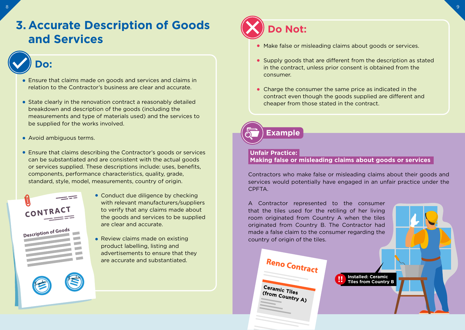# **3. Accurate Description of Goods and Services**

# **Do:**

- Ensure that claims made on goods and services and claims in relation to the Contractor's business are clear and accurate.
- State clearly in the renovation contract a reasonably detailed breakdown and description of the goods (including the measurements and type of materials used) and the services to be supplied for the works involved.
- Avoid ambiguous terms.
- Ensure that claims describing the Contractor's goods or services can be substantiated and are consistent with the actual goods or services supplied. These descriptions include: uses, benefits, components, performance characteristics, quality, grade, standard, style, model, measurements, country of origin.



- Conduct due diligence by checking with relevant manufacturers/suppliers to verify that any claims made about the goods and services to be supplied are clear and accurate.
- Review claims made on existing product labelling, listing and advertisements to ensure that they are accurate and substantiated.



- Make false or misleading claims about goods or services.
- Supply goods that are different from the description as stated in the contract, unless prior consent is obtained from the consumer.
- Charge the consumer the same price as indicated in the contract even though the goods supplied are different and cheaper from those stated in the contract.



#### **Unfair Practice:**

#### **Making false or misleading claims about goods or services**

Contractors who make false or misleading claims about their goods and services would potentially have engaged in an unfair practice under the CPFTA.

A Contractor represented to the consumer that the tiles used for the retiling of her living room originated from Country A when the tiles originated from Country B. The Contractor had made a false claim to the consumer regarding the country of origin of the tiles.

Reno Contract **Installed: Ceramic Tiles from Country B**

Ceramic Tiles (from Country A)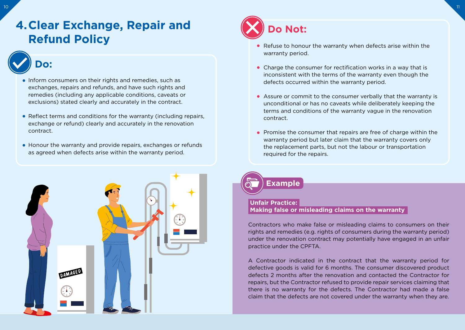## **4.Clear Exchange, Repair and Refund Policy**

# **Do:**

- Inform consumers on their rights and remedies, such as exchanges, repairs and refunds, and have such rights and remedies (including any applicable conditions, caveats or exclusions) stated clearly and accurately in the contract.
- Reflect terms and conditions for the warranty (including repairs, exchange or refund) clearly and accurately in the renovation contract.
- Honour the warranty and provide repairs, exchanges or refunds as agreed when defects arise within the warranty period.





- Refuse to honour the warranty when defects arise within the warranty period.
- Charge the consumer for rectification works in a way that is inconsistent with the terms of the warranty even though the defects occurred within the warranty period.
- Assure or commit to the consumer verbally that the warranty is unconditional or has no caveats while deliberately keeping the terms and conditions of the warranty vague in the renovation contract.
- Promise the consumer that repairs are free of charge within the warranty period but later claim that the warranty covers only the replacement parts, but not the labour or transportation required for the repairs.

**Example**

#### **Unfair Practice: Making false or misleading claims on the warranty**

Contractors who make false or misleading claims to consumers on their rights and remedies (e.g. rights of consumers during the warranty period) under the renovation contract may potentially have engaged in an unfair practice under the CPFTA.

A Contractor indicated in the contract that the warranty period for defective goods is valid for 6 months. The consumer discovered product defects 2 months after the renovation and contacted the Contractor for repairs, but the Contractor refused to provide repair services claiming that there is no warranty for the defects. The Contractor had made a false claim that the defects are not covered under the warranty when they are.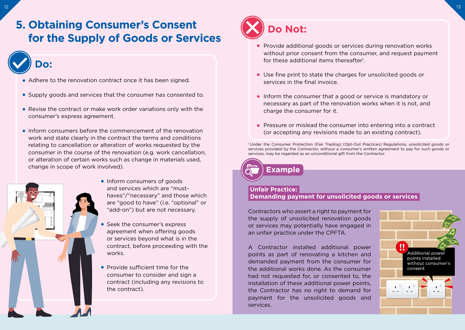### **5. Obtaining Consumer's Consent for the Supply of Goods or Services**

### **Do:**

- Adhere to the renovation contract once it has been signed.
- Supply goods and services that the consumer has consented to.
- Revise the contract or make work order variations only with the consumer's express agreement.
- $\bullet$  Inform consumers before the commencement of the renovation work and state clearly in the contract the terms and conditions relating to cancellation or alteration of works requested by the consumer in the course of the renovation (e.g. work cancellation, or alteration of certain works such as change in materials used, change in scope of work involved).



• Inform consumers of goods and services which are "musthaves"/"necessary" and those which are "good to have" (i.e. "optional" or "add-on") but are not necessary.

- Seek the consumer's express agreement when offering goods or services beyond what is in the contract, before proceeding with the works.
- Provide sufficient time for the consumer to consider and sign a contract (including any revisions to the contract).



- Provide additional goods or services during renovation works without prior consent from the consumer, and request payment for these additional items thereafter<sup>1</sup>.
- Use fine print to state the charges for unsolicited goods or services in the final invoice.
- Inform the consumer that a good or service is mandatory or necessary as part of the renovation works when it is not, and charge the consumer for it.
- **Pressure or mislead the consumer into entering into a contract** (or accepting any revisions made to an existing contract).

<sup>1</sup> Under the Consumer Protection (Fair Trading) (Opt-Out Practices) Regulations, unsolicited goods or services provided by the Contractor, without a consumer's written agreement to pay for such goods or services, may be regarded as an unconditional gift from the Contractor.

**Example**

#### **Unfair Practice: Demanding payment for unsolicited goods or services**

Contractors who assert a right to payment for the supply of unsolicited renovation goods or services may potentially have engaged in an unfair practice under the CPFTA.

A Contractor installed additional power points as part of renovating a kitchen and demanded payment from the consumer for the additional works done. As the consumer had not requested for, or consented to, the installation of these additional power points, the Contractor has no right to demand for payment for the unsolicited goods and services.

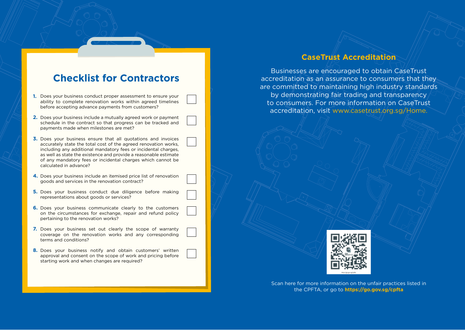### **Checklist for Contractors**

- 1. Does your business conduct proper assessment to ensure your ability to complete renovation works within agreed timelines before accepting advance payments from customers?
- 2. Does your business include a mutually agreed work or payment schedule in the contract so that progress can be tracked and payments made when milestones are met?
- **3.** Does your business ensure that all quotations and invoices accurately state the total cost of the agreed renovation works, including any additional mandatory fees or incidental charges, as well as state the existence and provide a reasonable estimate of any mandatory fees or incidental charges which cannot be calculated in advance?
- 4. Does your business include an itemised price list of renovation goods and services in the renovation contract?
- 5. Does your business conduct due diligence before making representations about goods or services?
- **6.** Does your business communicate clearly to the customers on the circumstances for exchange, repair and refund policy pertaining to the renovation works?
- 7. Does your business set out clearly the scope of warranty coverage on the renovation works and any corresponding terms and conditions?
- 8. Does your business notify and obtain customers' written approval and consent on the scope of work and pricing before starting work and when changes are required?

#### **CaseTrust Accreditation**

Businesses are encouraged to obtain CaseTrust accreditation as an assurance to consumers that they are committed to maintaining high industry standards by demonstrating fair trading and transparency to consumers. For more information on CaseTrust accreditation, visit www.casetrust.org.sg/Home.



Scan here for more information on the unfair practices listed in the CPFTA, or go to **https://go.gov.sg/cpfta**